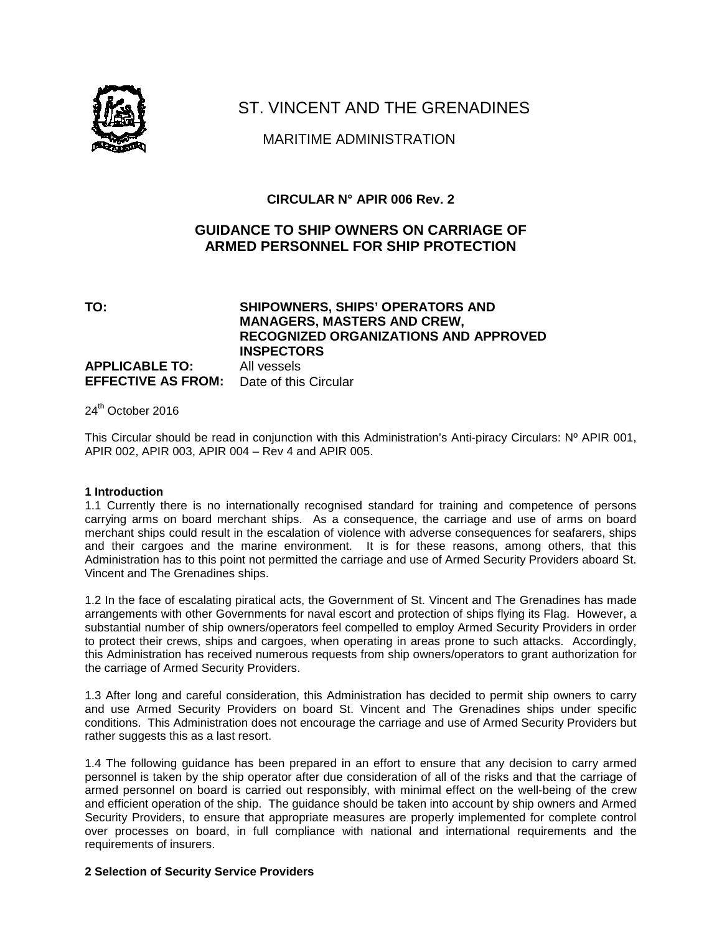

## ST. VINCENT AND THE GRENADINES

## MARITIME ADMINISTRATION

## **CIRCULAR N° APIR 006 Rev. 2**

## **GUIDANCE TO SHIP OWNERS ON CARRIAGE OF ARMED PERSONNEL FOR SHIP PROTECTION**

**TO: SHIPOWNERS, SHIPS' OPERATORS AND MANAGERS, MASTERS AND CREW, RECOGNIZED ORGANIZATIONS AND APPROVED INSPECTORS APPLICABLE TO:** All vessels **EFFECTIVE AS FROM:** Date of this Circular

24<sup>th</sup> October 2016

This Circular should be read in conjunction with this Administration's Anti-piracy Circulars: Nº APIR 001, APIR 002, APIR 003, APIR 004 – Rev 4 and APIR 005.

#### **1 Introduction**

1.1 Currently there is no internationally recognised standard for training and competence of persons carrying arms on board merchant ships. As a consequence, the carriage and use of arms on board merchant ships could result in the escalation of violence with adverse consequences for seafarers, ships and their cargoes and the marine environment. It is for these reasons, among others, that this Administration has to this point not permitted the carriage and use of Armed Security Providers aboard St. Vincent and The Grenadines ships.

1.2 In the face of escalating piratical acts, the Government of St. Vincent and The Grenadines has made arrangements with other Governments for naval escort and protection of ships flying its Flag. However, a substantial number of ship owners/operators feel compelled to employ Armed Security Providers in order to protect their crews, ships and cargoes, when operating in areas prone to such attacks. Accordingly, this Administration has received numerous requests from ship owners/operators to grant authorization for the carriage of Armed Security Providers.

1.3 After long and careful consideration, this Administration has decided to permit ship owners to carry and use Armed Security Providers on board St. Vincent and The Grenadines ships under specific conditions. This Administration does not encourage the carriage and use of Armed Security Providers but rather suggests this as a last resort.

1.4 The following guidance has been prepared in an effort to ensure that any decision to carry armed personnel is taken by the ship operator after due consideration of all of the risks and that the carriage of armed personnel on board is carried out responsibly, with minimal effect on the well-being of the crew and efficient operation of the ship. The guidance should be taken into account by ship owners and Armed Security Providers, to ensure that appropriate measures are properly implemented for complete control over processes on board, in full compliance with national and international requirements and the requirements of insurers.

#### **2 Selection of Security Service Providers**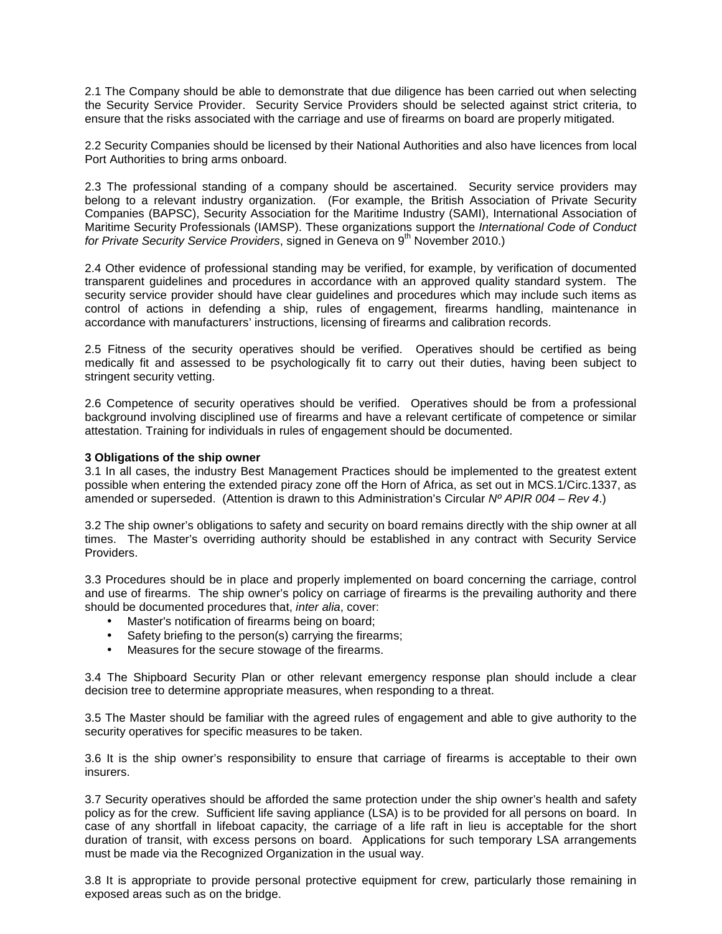2.1 The Company should be able to demonstrate that due diligence has been carried out when selecting the Security Service Provider. Security Service Providers should be selected against strict criteria, to ensure that the risks associated with the carriage and use of firearms on board are properly mitigated.

2.2 Security Companies should be licensed by their National Authorities and also have licences from local Port Authorities to bring arms onboard.

2.3 The professional standing of a company should be ascertained. Security service providers may belong to a relevant industry organization. (For example, the British Association of Private Security Companies (BAPSC), Security Association for the Maritime Industry (SAMI), International Association of Maritime Security Professionals (IAMSP). These organizations support the International Code of Conduct for Private Security Service Providers, signed in Geneva on 9<sup>th</sup> November 2010.)

2.4 Other evidence of professional standing may be verified, for example, by verification of documented transparent guidelines and procedures in accordance with an approved quality standard system. The security service provider should have clear guidelines and procedures which may include such items as control of actions in defending a ship, rules of engagement, firearms handling, maintenance in accordance with manufacturers' instructions, licensing of firearms and calibration records.

2.5 Fitness of the security operatives should be verified. Operatives should be certified as being medically fit and assessed to be psychologically fit to carry out their duties, having been subject to stringent security vetting.

2.6 Competence of security operatives should be verified. Operatives should be from a professional background involving disciplined use of firearms and have a relevant certificate of competence or similar attestation. Training for individuals in rules of engagement should be documented.

#### **3 Obligations of the ship owner**

3.1 In all cases, the industry Best Management Practices should be implemented to the greatest extent possible when entering the extended piracy zone off the Horn of Africa, as set out in MCS.1/Circ.1337, as amended or superseded. (Attention is drawn to this Administration's Circular  $N^{\circ}$  APIR 004 – Rev 4.)

3.2 The ship owner's obligations to safety and security on board remains directly with the ship owner at all times. The Master's overriding authority should be established in any contract with Security Service Providers.

3.3 Procedures should be in place and properly implemented on board concerning the carriage, control and use of firearms. The ship owner's policy on carriage of firearms is the prevailing authority and there should be documented procedures that, inter alia, cover:

- Master's notification of firearms being on board;
- Safety briefing to the person(s) carrying the firearms;
- Measures for the secure stowage of the firearms.

3.4 The Shipboard Security Plan or other relevant emergency response plan should include a clear decision tree to determine appropriate measures, when responding to a threat.

3.5 The Master should be familiar with the agreed rules of engagement and able to give authority to the security operatives for specific measures to be taken.

3.6 It is the ship owner's responsibility to ensure that carriage of firearms is acceptable to their own insurers.

3.7 Security operatives should be afforded the same protection under the ship owner's health and safety policy as for the crew. Sufficient life saving appliance (LSA) is to be provided for all persons on board. In case of any shortfall in lifeboat capacity, the carriage of a life raft in lieu is acceptable for the short duration of transit, with excess persons on board. Applications for such temporary LSA arrangements must be made via the Recognized Organization in the usual way.

3.8 It is appropriate to provide personal protective equipment for crew, particularly those remaining in exposed areas such as on the bridge.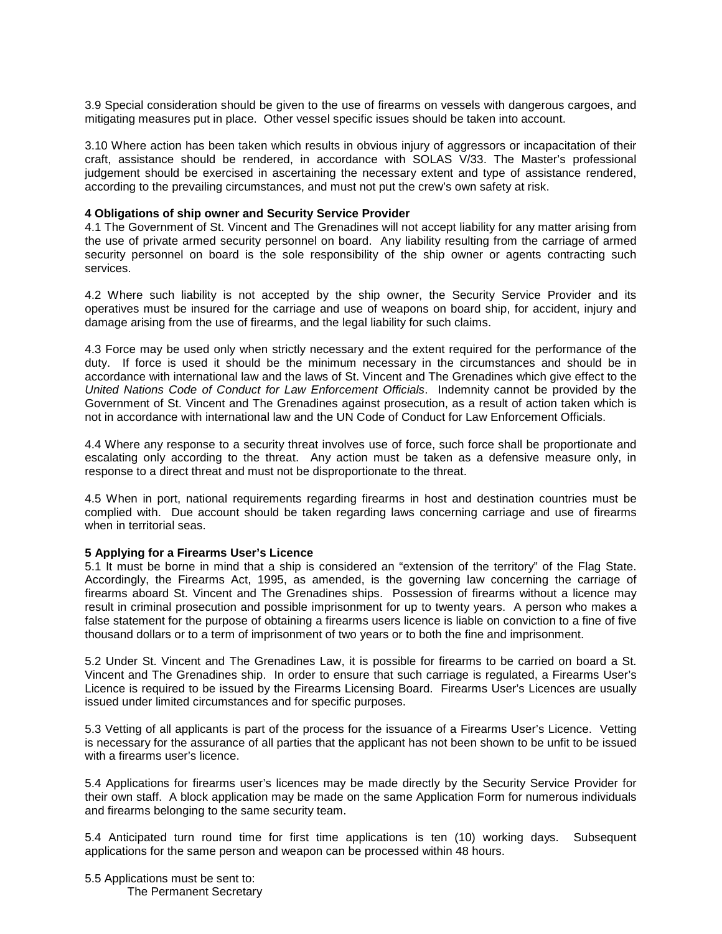3.9 Special consideration should be given to the use of firearms on vessels with dangerous cargoes, and mitigating measures put in place. Other vessel specific issues should be taken into account.

3.10 Where action has been taken which results in obvious injury of aggressors or incapacitation of their craft, assistance should be rendered, in accordance with SOLAS V/33. The Master's professional judgement should be exercised in ascertaining the necessary extent and type of assistance rendered, according to the prevailing circumstances, and must not put the crew's own safety at risk.

#### **4 Obligations of ship owner and Security Service Provider**

4.1 The Government of St. Vincent and The Grenadines will not accept liability for any matter arising from the use of private armed security personnel on board. Any liability resulting from the carriage of armed security personnel on board is the sole responsibility of the ship owner or agents contracting such services.

4.2 Where such liability is not accepted by the ship owner, the Security Service Provider and its operatives must be insured for the carriage and use of weapons on board ship, for accident, injury and damage arising from the use of firearms, and the legal liability for such claims.

4.3 Force may be used only when strictly necessary and the extent required for the performance of the duty. If force is used it should be the minimum necessary in the circumstances and should be in accordance with international law and the laws of St. Vincent and The Grenadines which give effect to the United Nations Code of Conduct for Law Enforcement Officials. Indemnity cannot be provided by the Government of St. Vincent and The Grenadines against prosecution, as a result of action taken which is not in accordance with international law and the UN Code of Conduct for Law Enforcement Officials.

4.4 Where any response to a security threat involves use of force, such force shall be proportionate and escalating only according to the threat. Any action must be taken as a defensive measure only, in response to a direct threat and must not be disproportionate to the threat.

4.5 When in port, national requirements regarding firearms in host and destination countries must be complied with. Due account should be taken regarding laws concerning carriage and use of firearms when in territorial seas.

#### **5 Applying for a Firearms User's Licence**

5.1 It must be borne in mind that a ship is considered an "extension of the territory" of the Flag State. Accordingly, the Firearms Act, 1995, as amended, is the governing law concerning the carriage of firearms aboard St. Vincent and The Grenadines ships. Possession of firearms without a licence may result in criminal prosecution and possible imprisonment for up to twenty years. A person who makes a false statement for the purpose of obtaining a firearms users licence is liable on conviction to a fine of five thousand dollars or to a term of imprisonment of two years or to both the fine and imprisonment.

5.2 Under St. Vincent and The Grenadines Law, it is possible for firearms to be carried on board a St. Vincent and The Grenadines ship. In order to ensure that such carriage is regulated, a Firearms User's Licence is required to be issued by the Firearms Licensing Board. Firearms User's Licences are usually issued under limited circumstances and for specific purposes.

5.3 Vetting of all applicants is part of the process for the issuance of a Firearms User's Licence. Vetting is necessary for the assurance of all parties that the applicant has not been shown to be unfit to be issued with a firearms user's licence.

5.4 Applications for firearms user's licences may be made directly by the Security Service Provider for their own staff. A block application may be made on the same Application Form for numerous individuals and firearms belonging to the same security team.

5.4 Anticipated turn round time for first time applications is ten (10) working days. Subsequent applications for the same person and weapon can be processed within 48 hours.

5.5 Applications must be sent to: The Permanent Secretary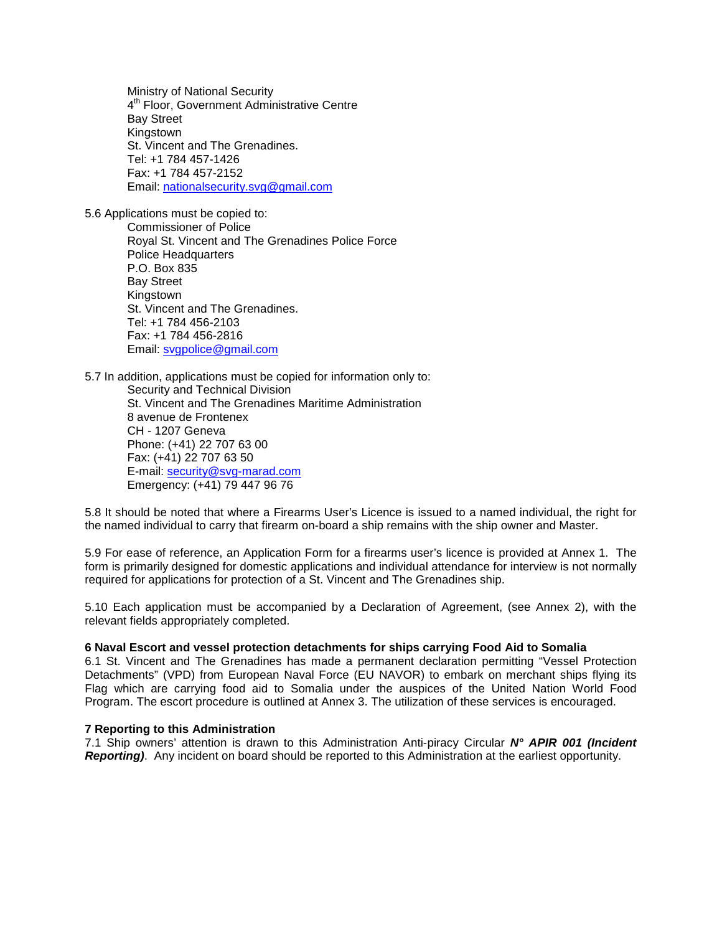Ministry of National Security 4 th Floor, Government Administrative Centre Bay Street Kingstown St. Vincent and The Grenadines. Tel: +1 784 457-1426 Fax: +1 784 457-2152 Email: nationalsecurity.svg@gmail.com

5.6 Applications must be copied to:

Commissioner of Police Royal St. Vincent and The Grenadines Police Force Police Headquarters P.O. Box 835 Bay Street Kingstown St. Vincent and The Grenadines. Tel: +1 784 456-2103 Fax: +1 784 456-2816 Email: svgpolice@gmail.com

5.7 In addition, applications must be copied for information only to:

Security and Technical Division St. Vincent and The Grenadines Maritime Administration 8 avenue de Frontenex CH - 1207 Geneva Phone: (+41) 22 707 63 00 Fax: (+41) 22 707 63 50 E-mail: security@svg-marad.com Emergency: (+41) 79 447 96 76

5.8 It should be noted that where a Firearms User's Licence is issued to a named individual, the right for the named individual to carry that firearm on-board a ship remains with the ship owner and Master.

5.9 For ease of reference, an Application Form for a firearms user's licence is provided at Annex 1. The form is primarily designed for domestic applications and individual attendance for interview is not normally required for applications for protection of a St. Vincent and The Grenadines ship.

5.10 Each application must be accompanied by a Declaration of Agreement, (see Annex 2), with the relevant fields appropriately completed.

#### **6 Naval Escort and vessel protection detachments for ships carrying Food Aid to Somalia**

6.1 St. Vincent and The Grenadines has made a permanent declaration permitting "Vessel Protection Detachments" (VPD) from European Naval Force (EU NAVOR) to embark on merchant ships flying its Flag which are carrying food aid to Somalia under the auspices of the United Nation World Food Program. The escort procedure is outlined at Annex 3. The utilization of these services is encouraged.

#### **7 Reporting to this Administration**

7.1 Ship owners' attention is drawn to this Administration Anti-piracy Circular **N° APIR 001 (Incident Reporting)**. Any incident on board should be reported to this Administration at the earliest opportunity.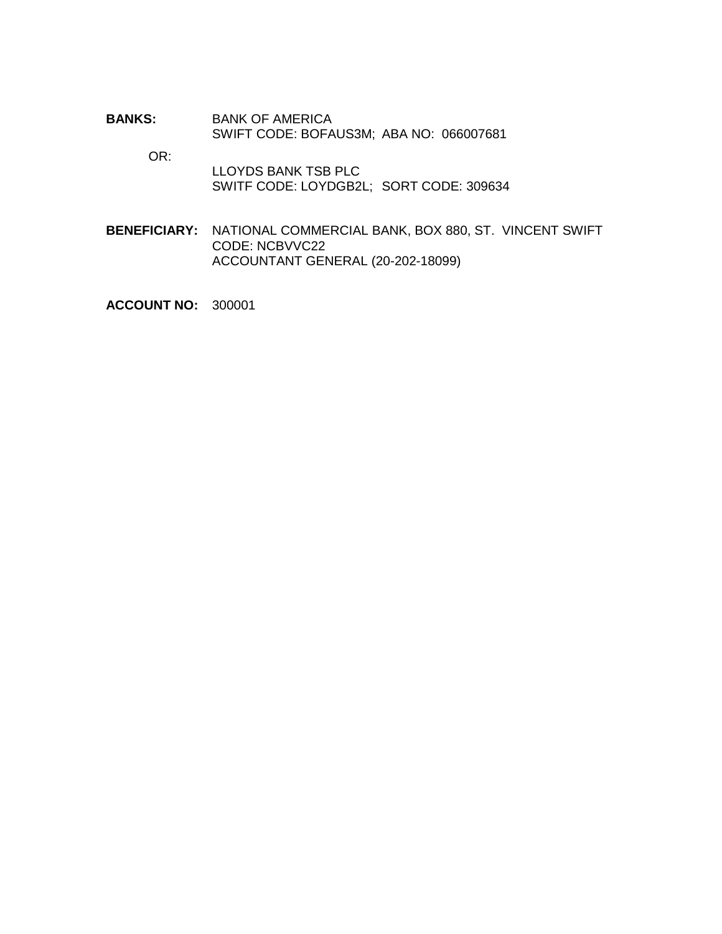**BANKS:** BANK OF AMERICA SWIFT CODE: BOFAUS3M; ABA NO: 066007681

OR:

 LLOYDS BANK TSB PLC SWITF CODE: LOYDGB2L; SORT CODE: 309634

**BENEFICIARY:** NATIONAL COMMERCIAL BANK, BOX 880, ST. VINCENT SWIFT CODE: NCBVVC22 ACCOUNTANT GENERAL (20-202-18099)

**ACCOUNT NO:** 300001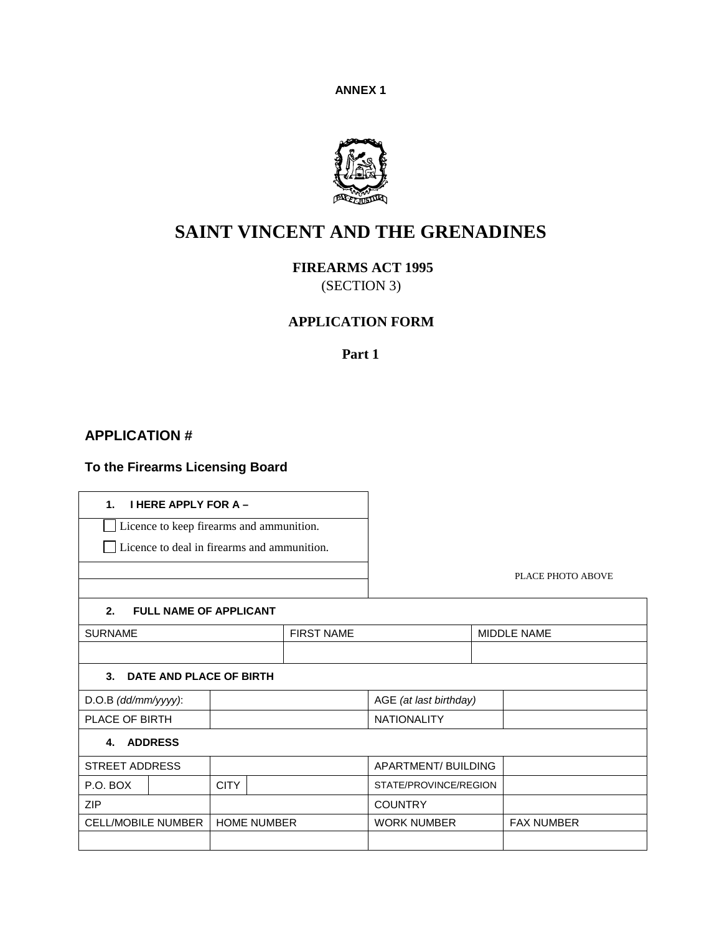**ANNEX 1**



# **SAINT VINCENT AND THE GRENADINES**

 **FIREARMS ACT 1995** 

(SECTION 3)

## **APPLICATION FORM**

**Part 1**

#### $\blacksquare$ **APPLICATION #**

## **To the Firearms Licensing Board**

| <b>I HERE APPLY FOR A -</b><br>$\mathbf{1}$ . |  |                    |                   |                       |                        |  |                   |
|-----------------------------------------------|--|--------------------|-------------------|-----------------------|------------------------|--|-------------------|
| Licence to keep firearms and ammunition.      |  |                    |                   |                       |                        |  |                   |
| Licence to deal in firearms and ammunition.   |  |                    |                   |                       |                        |  |                   |
|                                               |  |                    |                   |                       |                        |  |                   |
|                                               |  |                    |                   |                       |                        |  | PLACE PHOTO ABOVE |
| 2.<br><b>FULL NAME OF APPLICANT</b>           |  |                    |                   |                       |                        |  |                   |
| <b>SURNAME</b>                                |  |                    | <b>FIRST NAME</b> |                       | <b>MIDDLE NAME</b>     |  |                   |
|                                               |  |                    |                   |                       |                        |  |                   |
| $3-$<br>DATE AND PLACE OF BIRTH               |  |                    |                   |                       |                        |  |                   |
| D.O.B (dd/mm/yyyy):                           |  |                    |                   |                       | AGE (at last birthday) |  |                   |
| PLACE OF BIRTH                                |  |                    |                   | <b>NATIONALITY</b>    |                        |  |                   |
| <b>ADDRESS</b><br>4.                          |  |                    |                   |                       |                        |  |                   |
| <b>STREET ADDRESS</b>                         |  |                    |                   |                       | APARTMENT/ BUILDING    |  |                   |
| P.O. BOX                                      |  | <b>CITY</b>        |                   | STATE/PROVINCE/REGION |                        |  |                   |
| <b>ZIP</b>                                    |  |                    |                   |                       | <b>COUNTRY</b>         |  |                   |
| <b>CELL/MOBILE NUMBER</b>                     |  | <b>HOME NUMBER</b> |                   |                       | <b>WORK NUMBER</b>     |  | <b>FAX NUMBER</b> |
|                                               |  |                    |                   |                       |                        |  |                   |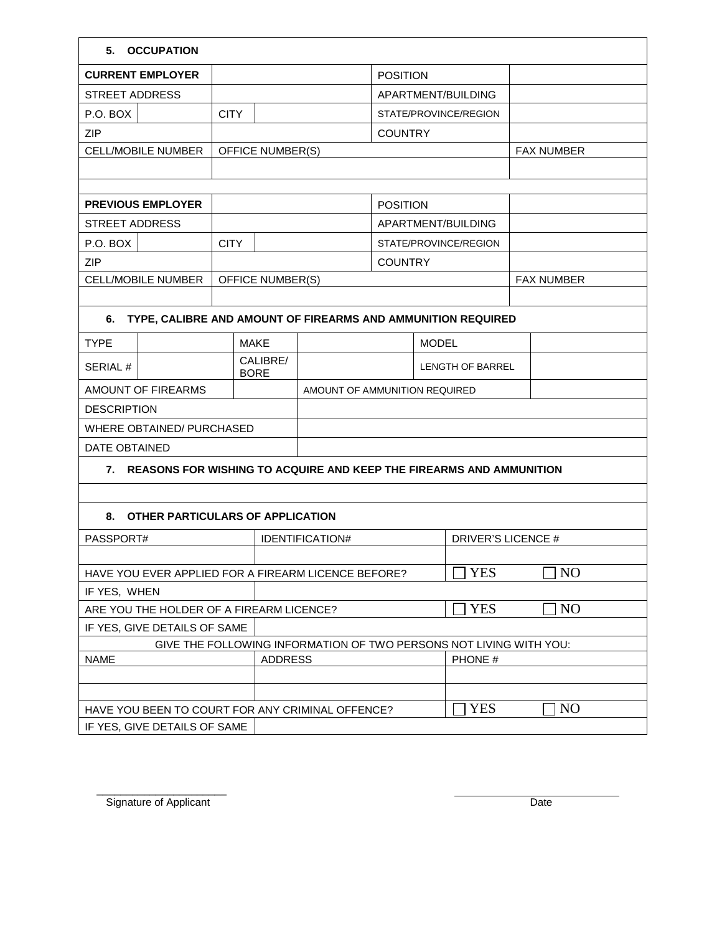| 5.<br><b>OCCUPATION</b>                                                |                               |                             |                    |                       |                         |            |                |                   |
|------------------------------------------------------------------------|-------------------------------|-----------------------------|--------------------|-----------------------|-------------------------|------------|----------------|-------------------|
| <b>CURRENT EMPLOYER</b>                                                |                               |                             |                    | <b>POSITION</b>       |                         |            |                |                   |
| <b>STREET ADDRESS</b>                                                  |                               |                             | APARTMENT/BUILDING |                       |                         |            |                |                   |
| P.O. BOX                                                               | <b>CITY</b>                   |                             |                    | STATE/PROVINCE/REGION |                         |            |                |                   |
| ZIP                                                                    |                               |                             |                    | <b>COUNTRY</b>        |                         |            |                |                   |
| <b>CELL/MOBILE NUMBER</b>                                              |                               | OFFICE NUMBER(S)            |                    |                       |                         |            |                | <b>FAX NUMBER</b> |
|                                                                        |                               |                             |                    |                       |                         |            |                |                   |
|                                                                        |                               |                             |                    |                       |                         |            |                |                   |
| <b>PREVIOUS EMPLOYER</b>                                               |                               |                             |                    |                       | <b>POSITION</b>         |            |                |                   |
| <b>STREET ADDRESS</b>                                                  |                               |                             |                    | APARTMENT/BUILDING    |                         |            |                |                   |
| P.O. BOX                                                               | <b>CITY</b>                   |                             |                    |                       | STATE/PROVINCE/REGION   |            |                |                   |
| <b>ZIP</b>                                                             |                               |                             |                    | <b>COUNTRY</b>        |                         |            |                |                   |
| <b>CELL/MOBILE NUMBER</b>                                              |                               | OFFICE NUMBER(S)            |                    |                       |                         |            |                | <b>FAX NUMBER</b> |
|                                                                        |                               |                             |                    |                       |                         |            |                |                   |
| TYPE, CALIBRE AND AMOUNT OF FIREARMS AND AMMUNITION REQUIRED<br>6.     |                               |                             |                    |                       |                         |            |                |                   |
| <b>TYPE</b>                                                            |                               | <b>MODEL</b><br><b>MAKE</b> |                    |                       |                         |            |                |                   |
| <b>SERIAL#</b>                                                         | CALIBRE/                      |                             |                    |                       | <b>LENGTH OF BARREL</b> |            |                |                   |
| <b>BORE</b><br>AMOUNT OF FIREARMS                                      |                               |                             |                    |                       |                         |            |                |                   |
| <b>DESCRIPTION</b>                                                     | AMOUNT OF AMMUNITION REQUIRED |                             |                    |                       |                         |            |                |                   |
| <b>WHERE OBTAINED/ PURCHASED</b>                                       |                               |                             |                    |                       |                         |            |                |                   |
| <b>DATE OBTAINED</b>                                                   |                               |                             |                    |                       |                         |            |                |                   |
|                                                                        |                               |                             |                    |                       |                         |            |                |                   |
| 7. REASONS FOR WISHING TO ACQUIRE AND KEEP THE FIREARMS AND AMMUNITION |                               |                             |                    |                       |                         |            |                |                   |
|                                                                        |                               |                             |                    |                       |                         |            |                |                   |
| OTHER PARTICULARS OF APPLICATION<br>8.                                 |                               |                             |                    |                       |                         |            |                |                   |
| PASSPORT#                                                              |                               |                             | IDENTIFICATION#    | DRIVER'S LICENCE #    |                         |            |                |                   |
|                                                                        |                               |                             |                    |                       |                         |            |                |                   |
| HAVE YOU EVER APPLIED FOR A FIREARM LICENCE BEFORE?                    |                               |                             |                    |                       | YES                     |            | N <sub>O</sub> |                   |
| IF YES, WHEN                                                           |                               |                             |                    |                       |                         |            |                |                   |
| ARE YOU THE HOLDER OF A FIREARM LICENCE?                               |                               |                             |                    |                       | <b>YES</b>              |            | N <sub>O</sub> |                   |
| IF YES, GIVE DETAILS OF SAME                                           |                               |                             |                    |                       |                         |            |                |                   |
| GIVE THE FOLLOWING INFORMATION OF TWO PERSONS NOT LIVING WITH YOU:     |                               |                             |                    |                       |                         |            |                |                   |
| <b>NAME</b>                                                            |                               | <b>ADDRESS</b>              |                    |                       | PHONE #                 |            |                |                   |
|                                                                        |                               |                             |                    |                       |                         |            |                |                   |
| HAVE YOU BEEN TO COURT FOR ANY CRIMINAL OFFENCE?                       |                               |                             |                    |                       |                         | <b>YES</b> |                | N <sub>O</sub>    |
| IF YES, GIVE DETAILS OF SAME                                           |                               |                             |                    |                       |                         |            |                |                   |

 $\overline{\phantom{a}}$  ,  $\overline{\phantom{a}}$  ,  $\overline{\phantom{a}}$  ,  $\overline{\phantom{a}}$  ,  $\overline{\phantom{a}}$  ,  $\overline{\phantom{a}}$  ,  $\overline{\phantom{a}}$  ,  $\overline{\phantom{a}}$  ,  $\overline{\phantom{a}}$  ,  $\overline{\phantom{a}}$  ,  $\overline{\phantom{a}}$  ,  $\overline{\phantom{a}}$  ,  $\overline{\phantom{a}}$  ,  $\overline{\phantom{a}}$  ,  $\overline{\phantom{a}}$  ,  $\overline{\phantom{a}}$ Signature of Applicant **Date**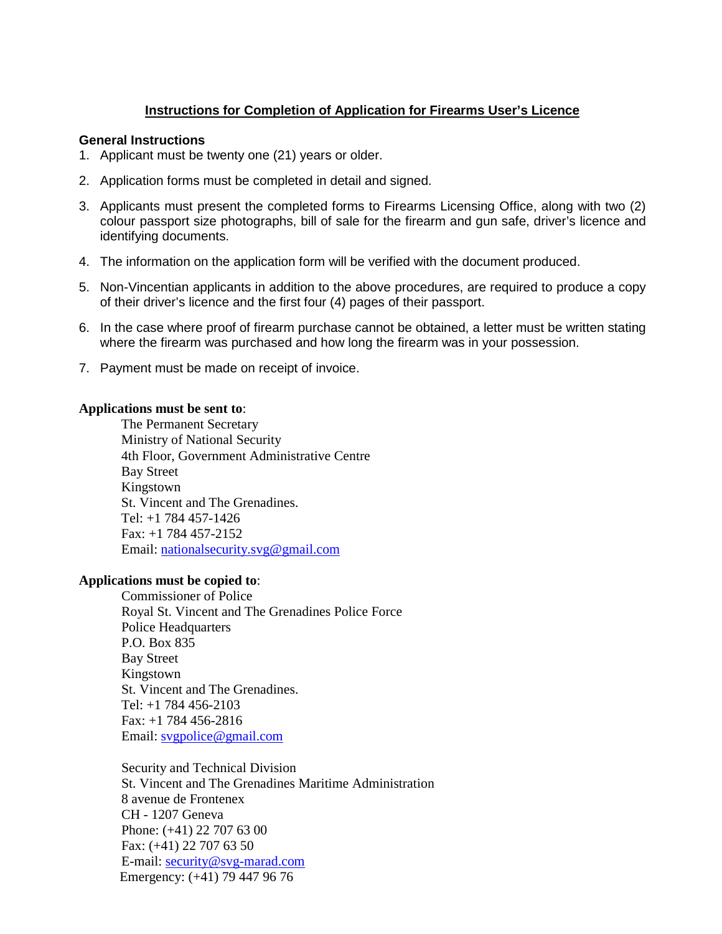## **Instructions for Completion of Application for Firearms User's Licence**

### **General Instructions**

- 1. Applicant must be twenty one (21) years or older.
- 2. Application forms must be completed in detail and signed.
- 3. Applicants must present the completed forms to Firearms Licensing Office, along with two (2) colour passport size photographs, bill of sale for the firearm and gun safe, driver's licence and identifying documents.
- 4. The information on the application form will be verified with the document produced.
- 5. Non-Vincentian applicants in addition to the above procedures, are required to produce a copy of their driver's licence and the first four (4) pages of their passport.
- 6. In the case where proof of firearm purchase cannot be obtained, a letter must be written stating where the firearm was purchased and how long the firearm was in your possession.
- 7. Payment must be made on receipt of invoice.

## **Applications must be sent to**:

The Permanent Secretary Ministry of National Security 4th Floor, Government Administrative Centre Bay Street Kingstown St. Vincent and The Grenadines. Tel: +1 784 457-1426 Fax: +1 784 457-2152 Email: nationalsecurity.svg@gmail.com

## **Applications must be copied to**:

Commissioner of Police Royal St. Vincent and The Grenadines Police Force Police Headquarters P.O. Box 835 Bay Street Kingstown St. Vincent and The Grenadines. Tel: +1 784 456-2103 Fax: +1 784 456-2816 Email: svgpolice@gmail.com

Security and Technical Division St. Vincent and The Grenadines Maritime Administration 8 avenue de Frontenex CH - 1207 Geneva Phone: (+41) 22 707 63 00 Fax: (+41) 22 707 63 50 E-mail: security@svg-marad.com Emergency: (+41) 79 447 96 76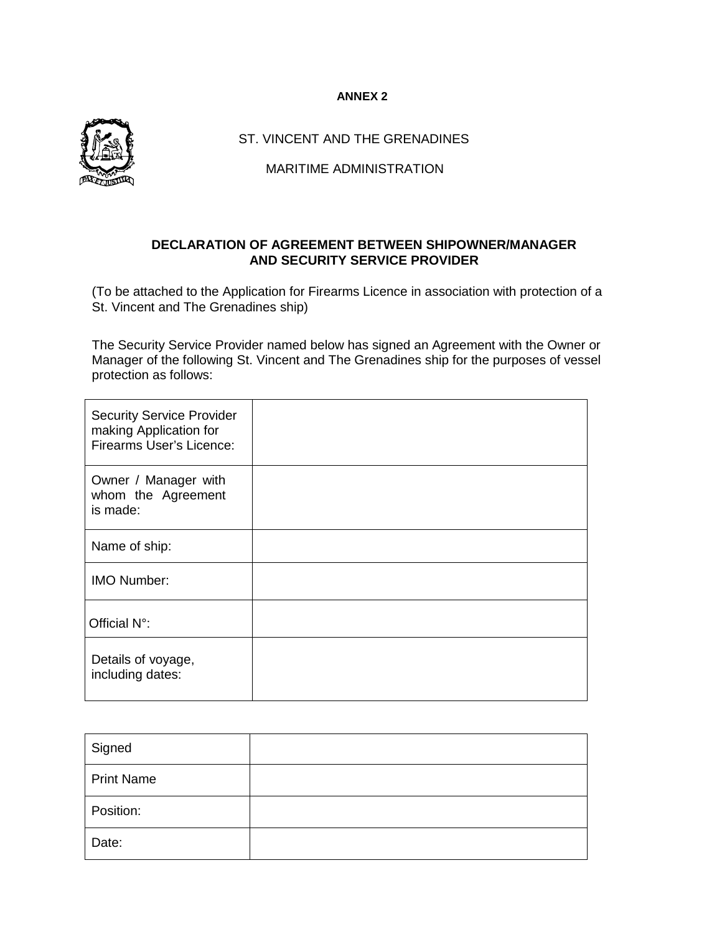### **ANNEX 2**



ST. VINCENT AND THE GRENADINES

MARITIME ADMINISTRATION

## **DECLARATION OF AGREEMENT BETWEEN SHIPOWNER/MANAGER AND SECURITY SERVICE PROVIDER**

(To be attached to the Application for Firearms Licence in association with protection of a St. Vincent and The Grenadines ship)

The Security Service Provider named below has signed an Agreement with the Owner or Manager of the following St. Vincent and The Grenadines ship for the purposes of vessel protection as follows:

| <b>Security Service Provider</b><br>making Application for<br><b>Firearms User's Licence:</b> |  |
|-----------------------------------------------------------------------------------------------|--|
| Owner / Manager with<br>whom the Agreement<br>is made:                                        |  |
| Name of ship:                                                                                 |  |
| IMO Number:                                                                                   |  |
| Official N°:                                                                                  |  |
| Details of voyage,<br>including dates:                                                        |  |

| Signed            |  |
|-------------------|--|
| <b>Print Name</b> |  |
| Position:         |  |
| Date:             |  |